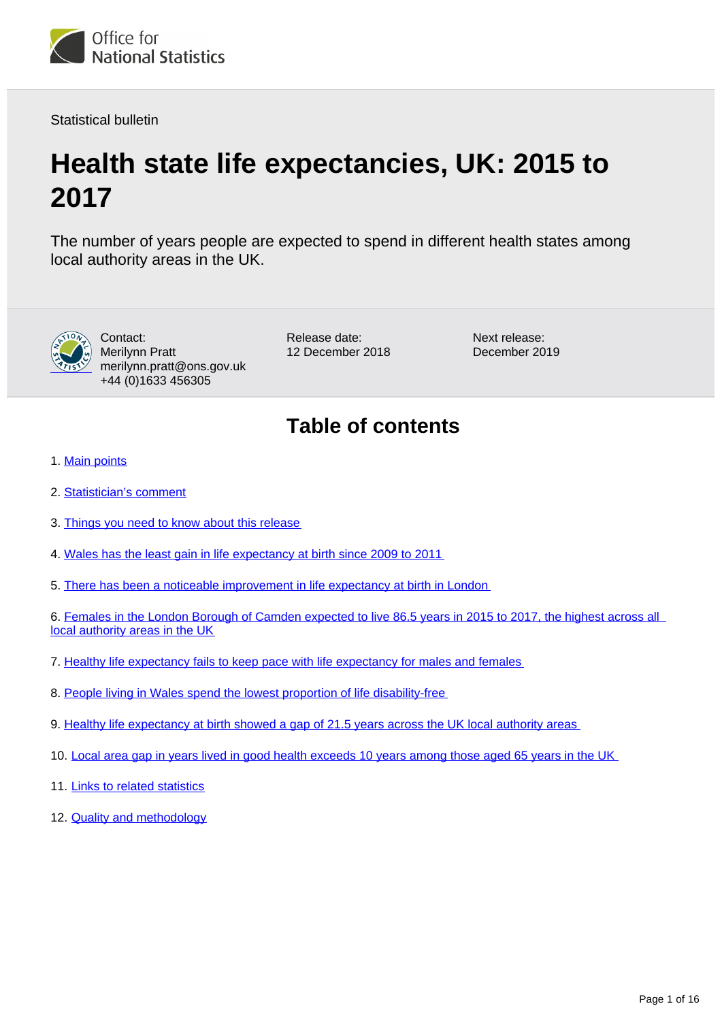<span id="page-0-0"></span>

Statistical bulletin

# **Health state life expectancies, UK: 2015 to 2017**

The number of years people are expected to spend in different health states among local authority areas in the UK.



Contact: Merilynn Pratt merilynn.pratt@ons.gov.uk +44 (0)1633 456305

Release date: 12 December 2018 Next release: December 2019

## **Table of contents**

- 1. [Main points](#page-1-0)
- 2. [Statistician's comment](#page-1-1)
- 3. [Things you need to know about this release](#page-1-2)
- 4. [Wales has the least gain in life expectancy at birth since 2009 to 2011](#page-2-0)
- 5. [There has been a noticeable improvement in life expectancy at birth in London](#page-4-0)

6. [Females in the London Borough of Camden expected to live 86.5 years in 2015 to 2017, the highest across all](#page-7-0)  [local authority areas in the UK](#page-7-0)

- 7. [Healthy life expectancy fails to keep pace with life expectancy for males and females](#page-9-0)
- 8. [People living in Wales spend the lowest proportion of life disability-free](#page-10-0)
- 9. [Healthy life expectancy at birth showed a gap of 21.5 years across the UK local authority areas](#page-12-0)
- 10. [Local area gap in years lived in good health exceeds 10 years among those aged 65 years in the UK](#page-13-0)
- 11. [Links to related statistics](#page-15-0)
- 12. **[Quality and methodology](#page-15-1)**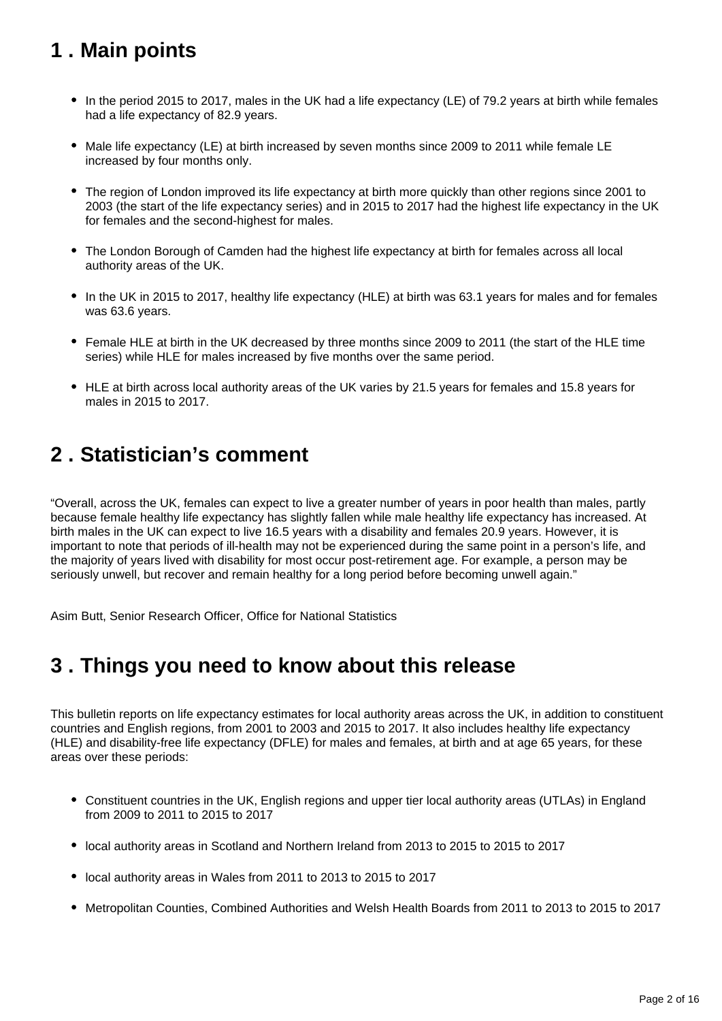## <span id="page-1-0"></span>**1 . Main points**

- In the period 2015 to 2017, males in the UK had a life expectancy (LE) of 79.2 years at birth while females had a life expectancy of 82.9 years.
- Male life expectancy (LE) at birth increased by seven months since 2009 to 2011 while female LE increased by four months only.
- The region of London improved its life expectancy at birth more quickly than other regions since 2001 to 2003 (the start of the life expectancy series) and in 2015 to 2017 had the highest life expectancy in the UK for females and the second-highest for males.
- The London Borough of Camden had the highest life expectancy at birth for females across all local authority areas of the UK.
- In the UK in 2015 to 2017, healthy life expectancy (HLE) at birth was 63.1 years for males and for females was 63.6 years.
- Female HLE at birth in the UK decreased by three months since 2009 to 2011 (the start of the HLE time series) while HLE for males increased by five months over the same period.
- HLE at birth across local authority areas of the UK varies by 21.5 years for females and 15.8 years for males in 2015 to 2017.

## <span id="page-1-1"></span>**2 . Statistician's comment**

"Overall, across the UK, females can expect to live a greater number of years in poor health than males, partly because female healthy life expectancy has slightly fallen while male healthy life expectancy has increased. At birth males in the UK can expect to live 16.5 years with a disability and females 20.9 years. However, it is important to note that periods of ill-health may not be experienced during the same point in a person's life, and the majority of years lived with disability for most occur post-retirement age. For example, a person may be seriously unwell, but recover and remain healthy for a long period before becoming unwell again."

Asim Butt, Senior Research Officer, Office for National Statistics

## <span id="page-1-2"></span>**3 . Things you need to know about this release**

This bulletin reports on life expectancy estimates for local authority areas across the UK, in addition to constituent countries and English regions, from 2001 to 2003 and 2015 to 2017. It also includes healthy life expectancy (HLE) and disability-free life expectancy (DFLE) for males and females, at birth and at age 65 years, for these areas over these periods:

- Constituent countries in the UK, English regions and upper tier local authority areas (UTLAs) in England from 2009 to 2011 to 2015 to 2017
- local authority areas in Scotland and Northern Ireland from 2013 to 2015 to 2015 to 2017
- local authority areas in Wales from 2011 to 2013 to 2015 to 2017
- Metropolitan Counties, Combined Authorities and Welsh Health Boards from 2011 to 2013 to 2015 to 2017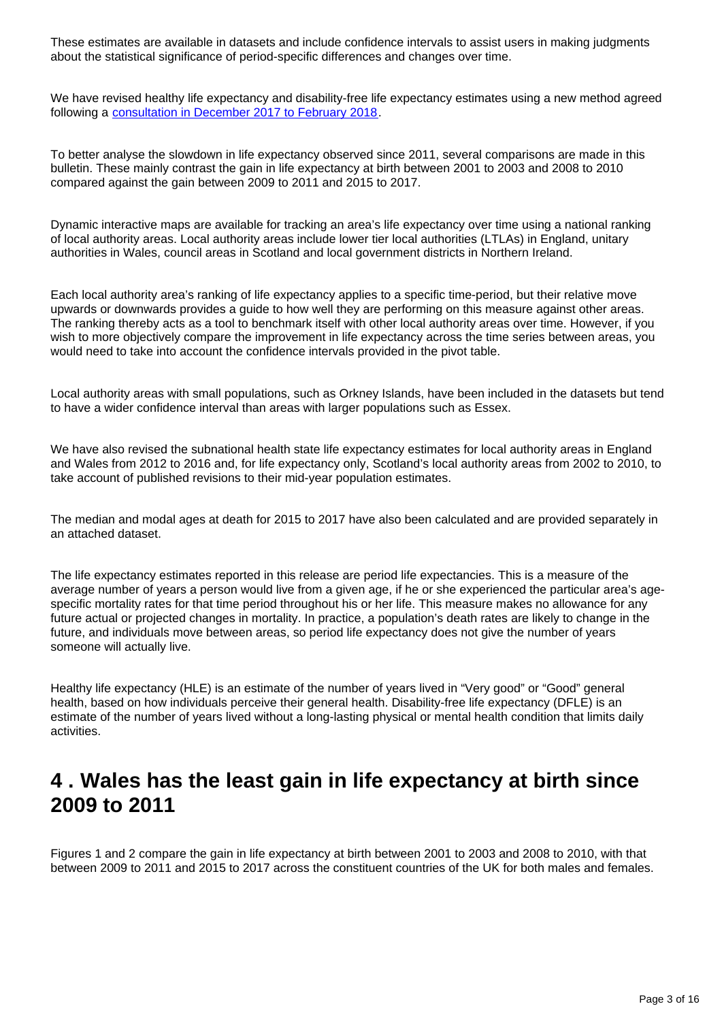These estimates are available in datasets and include confidence intervals to assist users in making judgments about the statistical significance of period-specific differences and changes over time.

We have revised healthy life expectancy and disability-free life expectancy estimates using a new method agreed following a [consultation in December 2017 to February 2018](https://consultations.ons.gov.uk/health-and-life-events/changes-to-health-state-life-expectancy-methodolog).

To better analyse the slowdown in life expectancy observed since 2011, several comparisons are made in this bulletin. These mainly contrast the gain in life expectancy at birth between 2001 to 2003 and 2008 to 2010 compared against the gain between 2009 to 2011 and 2015 to 2017.

Dynamic interactive maps are available for tracking an area's life expectancy over time using a national ranking of local authority areas. Local authority areas include lower tier local authorities (LTLAs) in England, unitary authorities in Wales, council areas in Scotland and local government districts in Northern Ireland.

Each local authority area's ranking of life expectancy applies to a specific time-period, but their relative move upwards or downwards provides a guide to how well they are performing on this measure against other areas. The ranking thereby acts as a tool to benchmark itself with other local authority areas over time. However, if you wish to more objectively compare the improvement in life expectancy across the time series between areas, you would need to take into account the confidence intervals provided in the pivot table.

Local authority areas with small populations, such as Orkney Islands, have been included in the datasets but tend to have a wider confidence interval than areas with larger populations such as Essex.

We have also revised the subnational health state life expectancy estimates for local authority areas in England and Wales from 2012 to 2016 and, for life expectancy only, Scotland's local authority areas from 2002 to 2010, to take account of published revisions to their mid-year population estimates.

The median and modal ages at death for 2015 to 2017 have also been calculated and are provided separately in an attached dataset.

The life expectancy estimates reported in this release are period life expectancies. This is a measure of the average number of years a person would live from a given age, if he or she experienced the particular area's agespecific mortality rates for that time period throughout his or her life. This measure makes no allowance for any future actual or projected changes in mortality. In practice, a population's death rates are likely to change in the future, and individuals move between areas, so period life expectancy does not give the number of years someone will actually live.

Healthy life expectancy (HLE) is an estimate of the number of years lived in "Very good" or "Good" general health, based on how individuals perceive their general health. Disability-free life expectancy (DFLE) is an estimate of the number of years lived without a long-lasting physical or mental health condition that limits daily activities.

## <span id="page-2-0"></span>**4 . Wales has the least gain in life expectancy at birth since 2009 to 2011**

Figures 1 and 2 compare the gain in life expectancy at birth between 2001 to 2003 and 2008 to 2010, with that between 2009 to 2011 and 2015 to 2017 across the constituent countries of the UK for both males and females.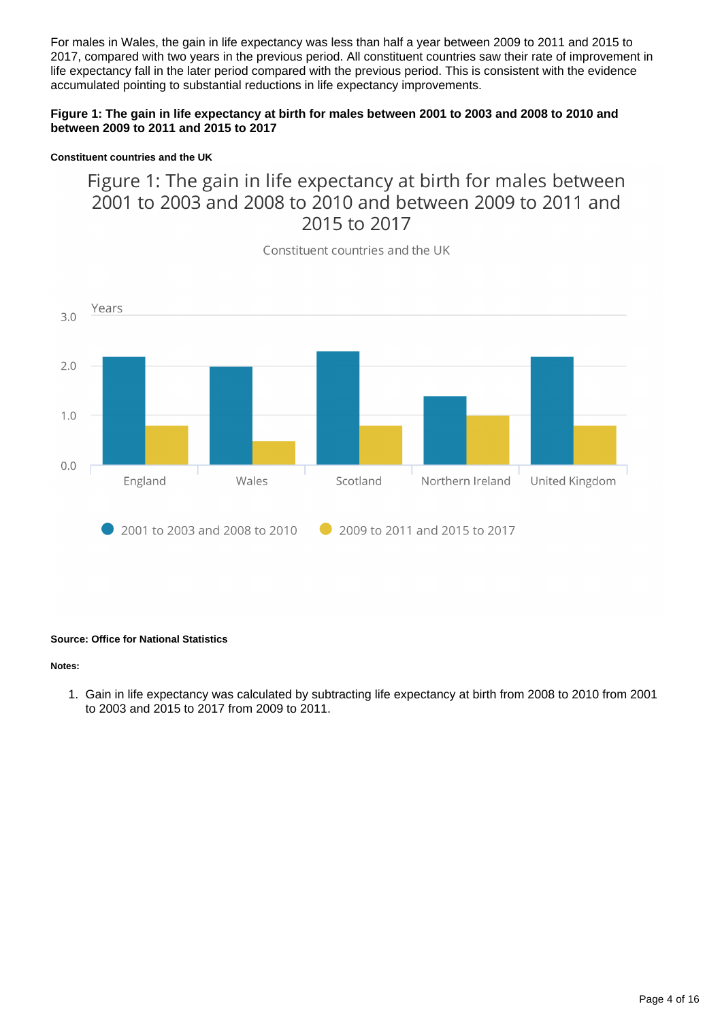For males in Wales, the gain in life expectancy was less than half a year between 2009 to 2011 and 2015 to 2017, compared with two years in the previous period. All constituent countries saw their rate of improvement in life expectancy fall in the later period compared with the previous period. This is consistent with the evidence accumulated pointing to substantial reductions in life expectancy improvements.

### **Figure 1: The gain in life expectancy at birth for males between 2001 to 2003 and 2008 to 2010 and between 2009 to 2011 and 2015 to 2017**

#### **Constituent countries and the UK**

### Figure 1: The gain in life expectancy at birth for males between 2001 to 2003 and 2008 to 2010 and between 2009 to 2011 and 2015 to 2017

Years  $3.0$  $2.0$  $1.0$  $0.0$ Scotland Northern Ireland United Kingdom England Wales 2001 to 2003 and 2008 to 2010 2009 to 2011 and 2015 to 2017

Constituent countries and the UK

#### **Source: Office for National Statistics**

#### **Notes:**

1. Gain in life expectancy was calculated by subtracting life expectancy at birth from 2008 to 2010 from 2001 to 2003 and 2015 to 2017 from 2009 to 2011.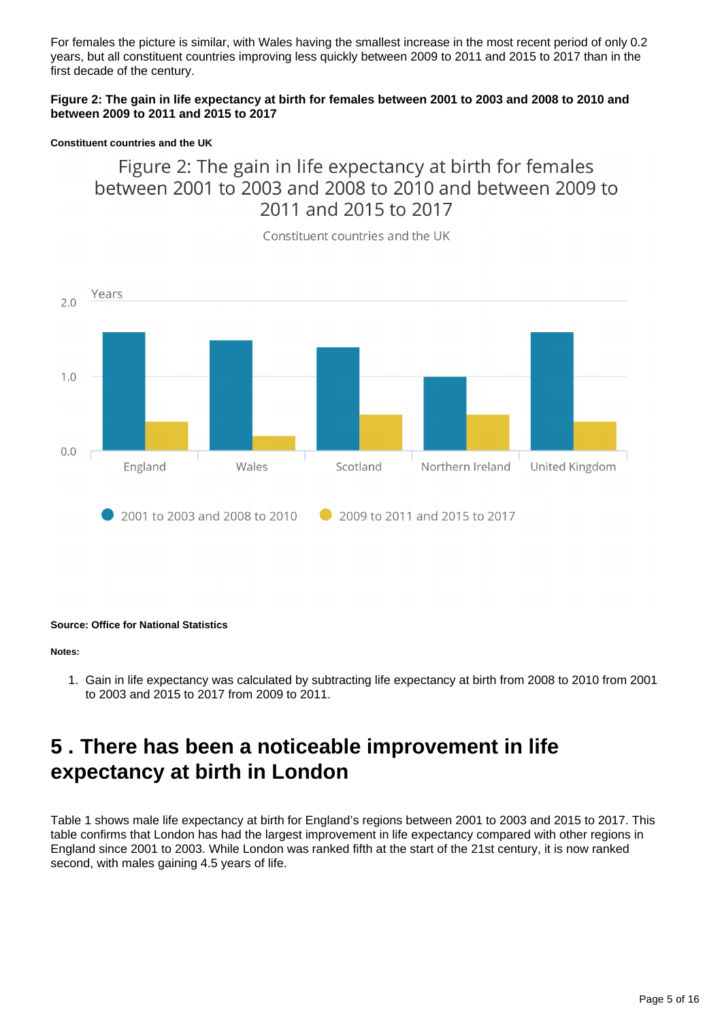For females the picture is similar, with Wales having the smallest increase in the most recent period of only 0.2 years, but all constituent countries improving less quickly between 2009 to 2011 and 2015 to 2017 than in the first decade of the century.

### **Figure 2: The gain in life expectancy at birth for females between 2001 to 2003 and 2008 to 2010 and between 2009 to 2011 and 2015 to 2017**

#### **Constituent countries and the UK**

### Figure 2: The gain in life expectancy at birth for females between 2001 to 2003 and 2008 to 2010 and between 2009 to 2011 and 2015 to 2017

Constituent countries and the UK



#### **Source: Office for National Statistics**

#### **Notes:**

1. Gain in life expectancy was calculated by subtracting life expectancy at birth from 2008 to 2010 from 2001 to 2003 and 2015 to 2017 from 2009 to 2011.

## <span id="page-4-0"></span>**5 . There has been a noticeable improvement in life expectancy at birth in London**

Table 1 shows male life expectancy at birth for England's regions between 2001 to 2003 and 2015 to 2017. This table confirms that London has had the largest improvement in life expectancy compared with other regions in England since 2001 to 2003. While London was ranked fifth at the start of the 21st century, it is now ranked second, with males gaining 4.5 years of life.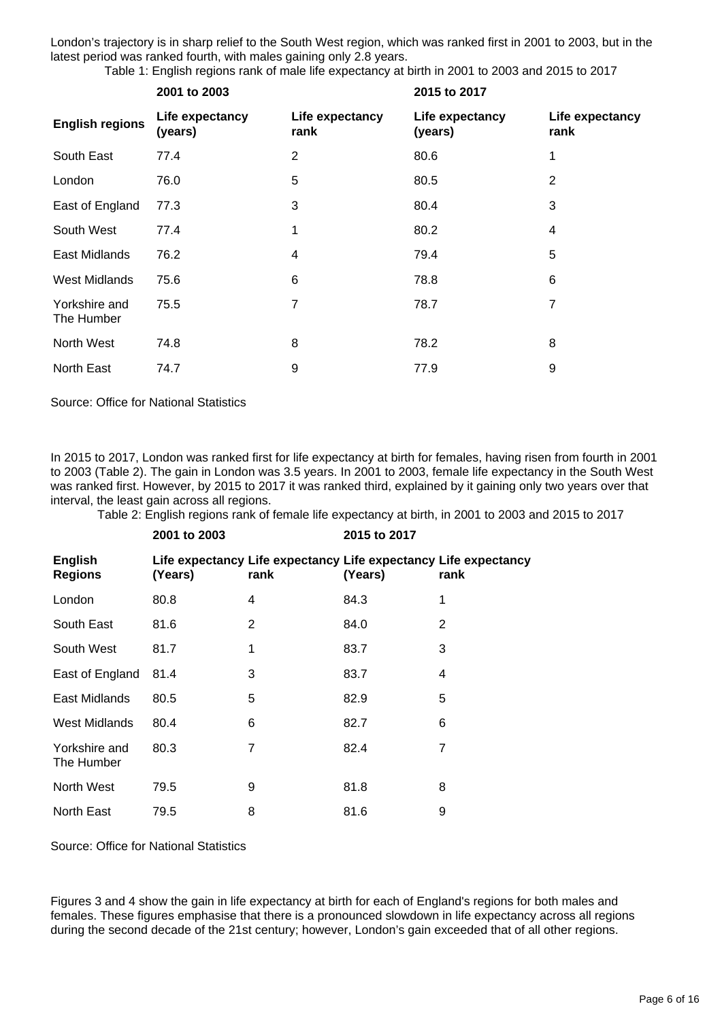London's trajectory is in sharp relief to the South West region, which was ranked first in 2001 to 2003, but in the latest period was ranked fourth, with males gaining only 2.8 years.

Table 1: English regions rank of male life expectancy at birth in 2001 to 2003 and 2015 to 2017

|                             | 2001 to 2003               |                         | 2015 to 2017               |                         |  |
|-----------------------------|----------------------------|-------------------------|----------------------------|-------------------------|--|
| <b>English regions</b>      | Life expectancy<br>(years) | Life expectancy<br>rank | Life expectancy<br>(years) | Life expectancy<br>rank |  |
| South East                  | 77.4                       | $\overline{2}$          | 80.6                       |                         |  |
| London                      | 76.0                       | 5                       | 80.5                       | 2                       |  |
| East of England             | 77.3                       | 3                       | 80.4                       | 3                       |  |
| South West                  | 77.4                       | 1                       | 80.2                       | 4                       |  |
| East Midlands               | 76.2                       | 4                       | 79.4                       | 5                       |  |
| West Midlands               | 75.6                       | 6                       | 78.8                       | 6                       |  |
| Yorkshire and<br>The Humber | 75.5                       | 7                       | 78.7                       | 7                       |  |
| North West                  | 74.8                       | 8                       | 78.2                       | 8                       |  |
| North East                  | 74.7                       | 9                       | 77.9                       | 9                       |  |

Source: Office for National Statistics

In 2015 to 2017, London was ranked first for life expectancy at birth for females, having risen from fourth in 2001 to 2003 (Table 2). The gain in London was 3.5 years. In 2001 to 2003, female life expectancy in the South West was ranked first. However, by 2015 to 2017 it was ranked third, explained by it gaining only two years over that interval, the least gain across all regions.

Table 2: English regions rank of female life expectancy at birth, in 2001 to 2003 and 2015 to 2017

|                             | 2001 to 2003 |      | 2015 to 2017 |                                                                         |  |
|-----------------------------|--------------|------|--------------|-------------------------------------------------------------------------|--|
| English<br><b>Regions</b>   | (Years)      | rank | (Years)      | Life expectancy Life expectancy Life expectancy Life expectancy<br>rank |  |
| London                      | 80.8         | 4    | 84.3         | 1                                                                       |  |
| South East                  | 81.6         | 2    | 84.0         | 2                                                                       |  |
| South West                  | 81.7         | 1    | 83.7         | 3                                                                       |  |
| East of England             | 81.4         | 3    | 83.7         | 4                                                                       |  |
| East Midlands               | 80.5         | 5    | 82.9         | 5                                                                       |  |
| <b>West Midlands</b>        | 80.4         | 6    | 82.7         | 6                                                                       |  |
| Yorkshire and<br>The Humber | 80.3         | 7    | 82.4         | 7                                                                       |  |
| North West                  | 79.5         | 9    | 81.8         | 8                                                                       |  |
| North East                  | 79.5         | 8    | 81.6         | 9                                                                       |  |

Source: Office for National Statistics

Figures 3 and 4 show the gain in life expectancy at birth for each of England's regions for both males and females. These figures emphasise that there is a pronounced slowdown in life expectancy across all regions during the second decade of the 21st century; however, London's gain exceeded that of all other regions.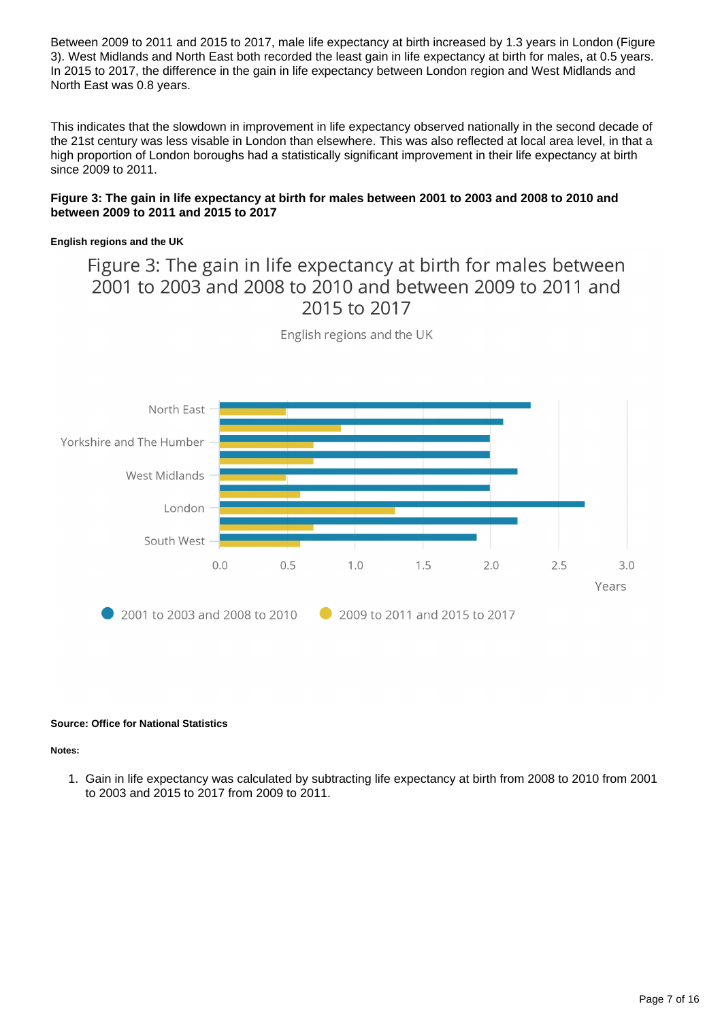Between 2009 to 2011 and 2015 to 2017, male life expectancy at birth increased by 1.3 years in London (Figure 3). West Midlands and North East both recorded the least gain in life expectancy at birth for males, at 0.5 years. In 2015 to 2017, the difference in the gain in life expectancy between London region and West Midlands and North East was 0.8 years.

This indicates that the slowdown in improvement in life expectancy observed nationally in the second decade of the 21st century was less visable in London than elsewhere. This was also reflected at local area level, in that a high proportion of London boroughs had a statistically significant improvement in their life expectancy at birth since 2009 to 2011.

### **Figure 3: The gain in life expectancy at birth for males between 2001 to 2003 and 2008 to 2010 and between 2009 to 2011 and 2015 to 2017**

### **English regions and the UK**

Figure 3: The gain in life expectancy at birth for males between 2001 to 2003 and 2008 to 2010 and between 2009 to 2011 and 2015 to 2017



English regions and the UK

#### **Source: Office for National Statistics**

#### **Notes:**

1. Gain in life expectancy was calculated by subtracting life expectancy at birth from 2008 to 2010 from 2001 to 2003 and 2015 to 2017 from 2009 to 2011.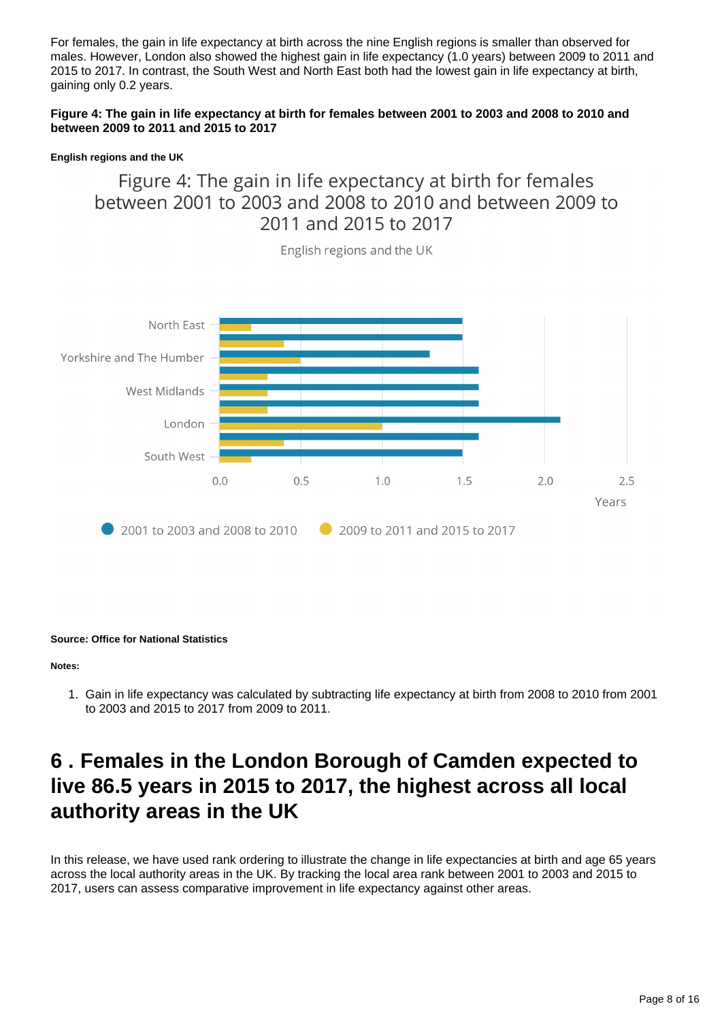For females, the gain in life expectancy at birth across the nine English regions is smaller than observed for males. However, London also showed the highest gain in life expectancy (1.0 years) between 2009 to 2011 and 2015 to 2017. In contrast, the South West and North East both had the lowest gain in life expectancy at birth, gaining only 0.2 years.

### **Figure 4: The gain in life expectancy at birth for females between 2001 to 2003 and 2008 to 2010 and between 2009 to 2011 and 2015 to 2017**

#### **English regions and the UK**

### Figure 4: The gain in life expectancy at birth for females between 2001 to 2003 and 2008 to 2010 and between 2009 to 2011 and 2015 to 2017



English regions and the UK

#### **Source: Office for National Statistics**

#### **Notes:**

1. Gain in life expectancy was calculated by subtracting life expectancy at birth from 2008 to 2010 from 2001 to 2003 and 2015 to 2017 from 2009 to 2011.

## <span id="page-7-0"></span>**6 . Females in the London Borough of Camden expected to live 86.5 years in 2015 to 2017, the highest across all local authority areas in the UK**

In this release, we have used rank ordering to illustrate the change in life expectancies at birth and age 65 years across the local authority areas in the UK. By tracking the local area rank between 2001 to 2003 and 2015 to 2017, users can assess comparative improvement in life expectancy against other areas.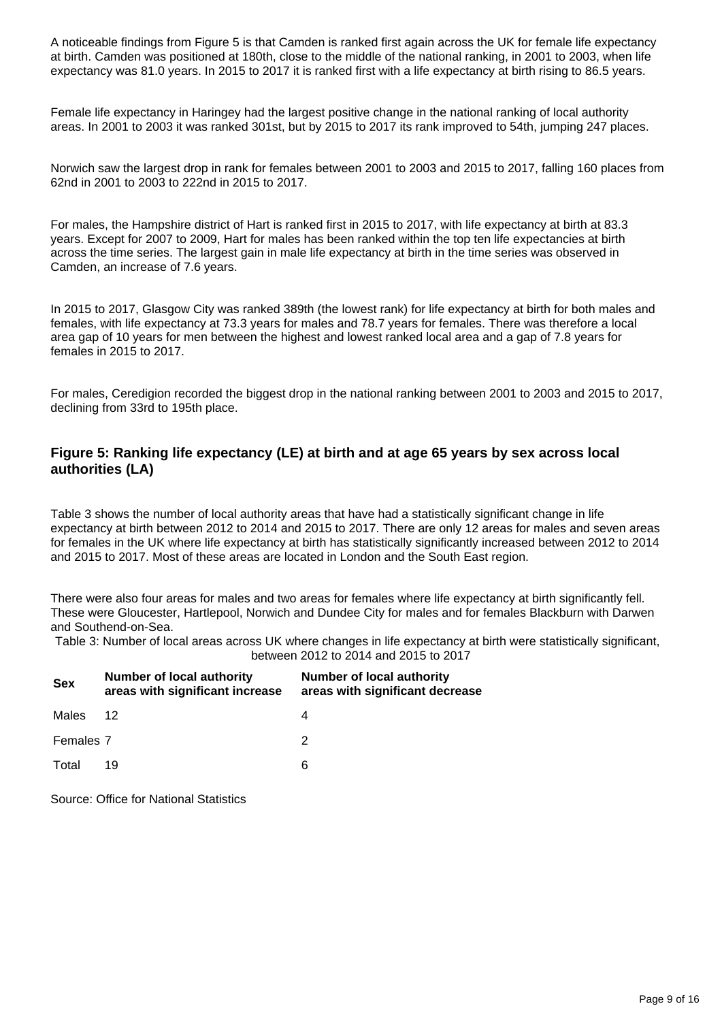A noticeable findings from Figure 5 is that Camden is ranked first again across the UK for female life expectancy at birth. Camden was positioned at 180th, close to the middle of the national ranking, in 2001 to 2003, when life expectancy was 81.0 years. In 2015 to 2017 it is ranked first with a life expectancy at birth rising to 86.5 years.

Female life expectancy in Haringey had the largest positive change in the national ranking of local authority areas. In 2001 to 2003 it was ranked 301st, but by 2015 to 2017 its rank improved to 54th, jumping 247 places.

Norwich saw the largest drop in rank for females between 2001 to 2003 and 2015 to 2017, falling 160 places from 62nd in 2001 to 2003 to 222nd in 2015 to 2017.

For males, the Hampshire district of Hart is ranked first in 2015 to 2017, with life expectancy at birth at 83.3 years. Except for 2007 to 2009, Hart for males has been ranked within the top ten life expectancies at birth across the time series. The largest gain in male life expectancy at birth in the time series was observed in Camden, an increase of 7.6 years.

In 2015 to 2017, Glasgow City was ranked 389th (the lowest rank) for life expectancy at birth for both males and females, with life expectancy at 73.3 years for males and 78.7 years for females. There was therefore a local area gap of 10 years for men between the highest and lowest ranked local area and a gap of 7.8 years for females in 2015 to 2017.

For males, Ceredigion recorded the biggest drop in the national ranking between 2001 to 2003 and 2015 to 2017, declining from 33rd to 195th place.

### **Figure 5: Ranking life expectancy (LE) at birth and at age 65 years by sex across local authorities (LA)**

Table 3 shows the number of local authority areas that have had a statistically significant change in life expectancy at birth between 2012 to 2014 and 2015 to 2017. There are only 12 areas for males and seven areas for females in the UK where life expectancy at birth has statistically significantly increased between 2012 to 2014 and 2015 to 2017. Most of these areas are located in London and the South East region.

There were also four areas for males and two areas for females where life expectancy at birth significantly fell. These were Gloucester, Hartlepool, Norwich and Dundee City for males and for females Blackburn with Darwen and Southend-on-Sea.

Table 3: Number of local areas across UK where changes in life expectancy at birth were statistically significant, between 2012 to 2014 and 2015 to 2017

| <b>Sex</b> | <b>Number of local authority</b><br>areas with significant increase | <b>Number of local authority</b><br>areas with significant decrease |
|------------|---------------------------------------------------------------------|---------------------------------------------------------------------|
| Males      | 12                                                                  | 4                                                                   |
| Females 7  |                                                                     | 2                                                                   |
| Total      | 19                                                                  | 6                                                                   |

Source: Office for National Statistics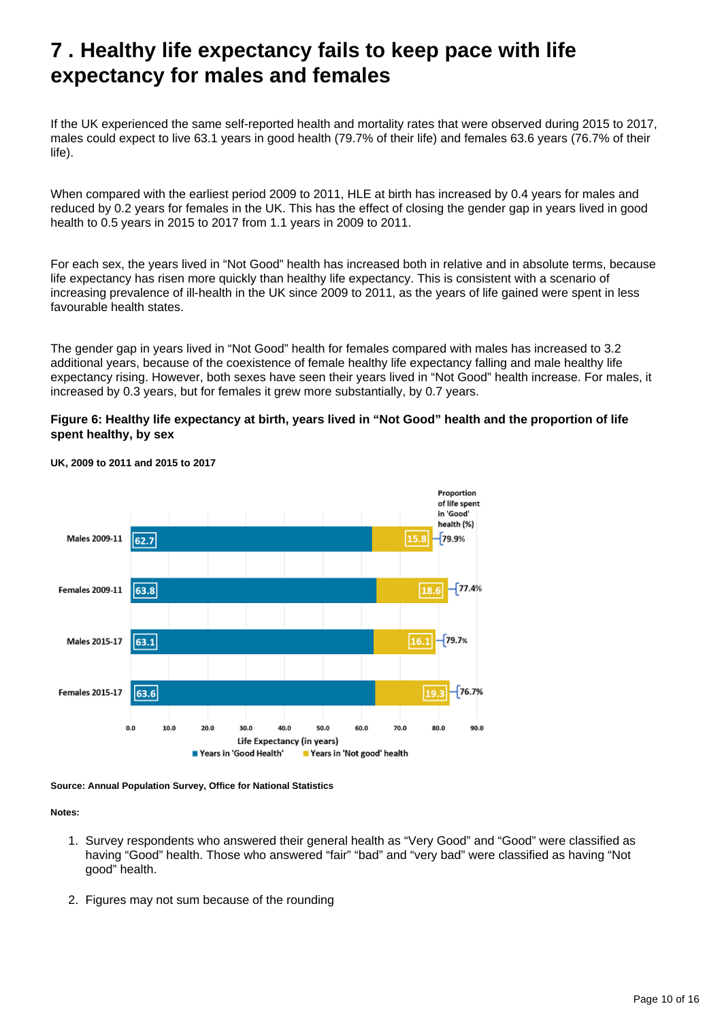## <span id="page-9-0"></span>**7 . Healthy life expectancy fails to keep pace with life expectancy for males and females**

If the UK experienced the same self-reported health and mortality rates that were observed during 2015 to 2017, males could expect to live 63.1 years in good health (79.7% of their life) and females 63.6 years (76.7% of their life).

When compared with the earliest period 2009 to 2011, HLE at birth has increased by 0.4 years for males and reduced by 0.2 years for females in the UK. This has the effect of closing the gender gap in years lived in good health to 0.5 years in 2015 to 2017 from 1.1 years in 2009 to 2011.

For each sex, the years lived in "Not Good" health has increased both in relative and in absolute terms, because life expectancy has risen more quickly than healthy life expectancy. This is consistent with a scenario of increasing prevalence of ill-health in the UK since 2009 to 2011, as the years of life gained were spent in less favourable health states.

The gender gap in years lived in "Not Good" health for females compared with males has increased to 3.2 additional years, because of the coexistence of female healthy life expectancy falling and male healthy life expectancy rising. However, both sexes have seen their years lived in "Not Good" health increase. For males, it increased by 0.3 years, but for females it grew more substantially, by 0.7 years.

### **Figure 6: Healthy life expectancy at birth, years lived in "Not Good" health and the proportion of life spent healthy, by sex**



### **UK, 2009 to 2011 and 2015 to 2017**

**Source: Annual Population Survey, Office for National Statistics**

#### **Notes:**

- 1. Survey respondents who answered their general health as "Very Good" and "Good" were classified as having "Good" health. Those who answered "fair" "bad" and "very bad" were classified as having "Not good" health.
- 2. Figures may not sum because of the rounding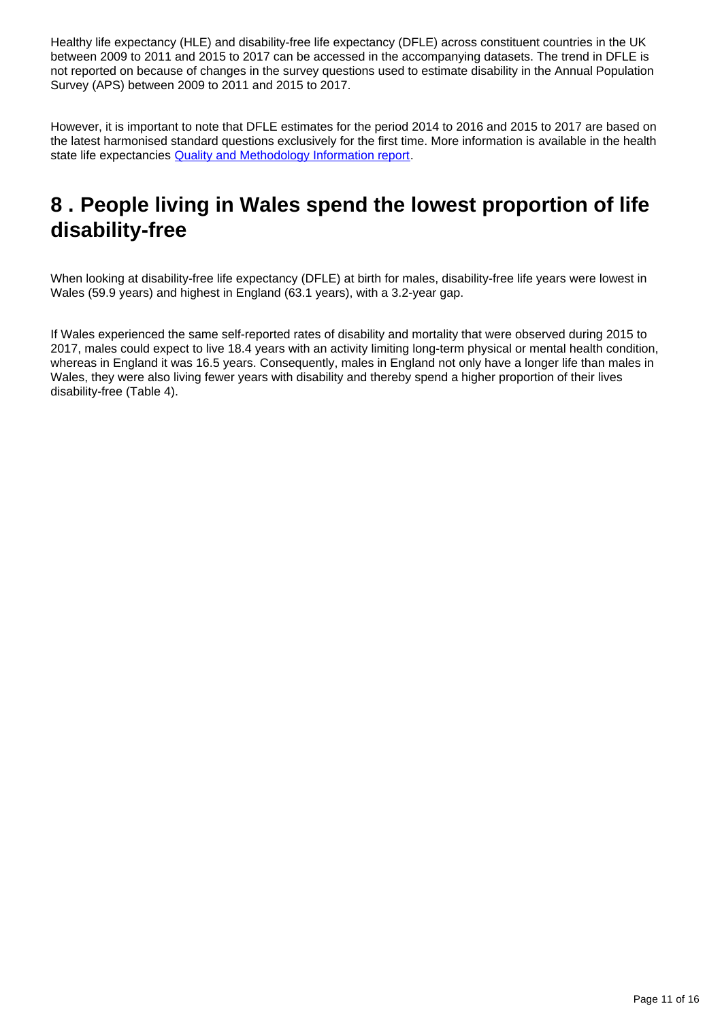Healthy life expectancy (HLE) and disability-free life expectancy (DFLE) across constituent countries in the UK between 2009 to 2011 and 2015 to 2017 can be accessed in the accompanying datasets. The trend in DFLE is not reported on because of changes in the survey questions used to estimate disability in the Annual Population Survey (APS) between 2009 to 2011 and 2015 to 2017.

However, it is important to note that DFLE estimates for the period 2014 to 2016 and 2015 to 2017 are based on the latest harmonised standard questions exclusively for the first time. More information is available in the health state life expectancies **[Quality and Methodology Information report](https://www.ons.gov.uk/peoplepopulationandcommunity/healthandsocialcare/healthandlifeexpectancies/methodologies/healthstatelifeexpectanciesukqmi)**.

## <span id="page-10-0"></span>**8 . People living in Wales spend the lowest proportion of life disability-free**

When looking at disability-free life expectancy (DFLE) at birth for males, disability-free life years were lowest in Wales (59.9 years) and highest in England (63.1 years), with a 3.2-year gap.

If Wales experienced the same self-reported rates of disability and mortality that were observed during 2015 to 2017, males could expect to live 18.4 years with an activity limiting long-term physical or mental health condition, whereas in England it was 16.5 years. Consequently, males in England not only have a longer life than males in Wales, they were also living fewer years with disability and thereby spend a higher proportion of their lives disability-free (Table 4).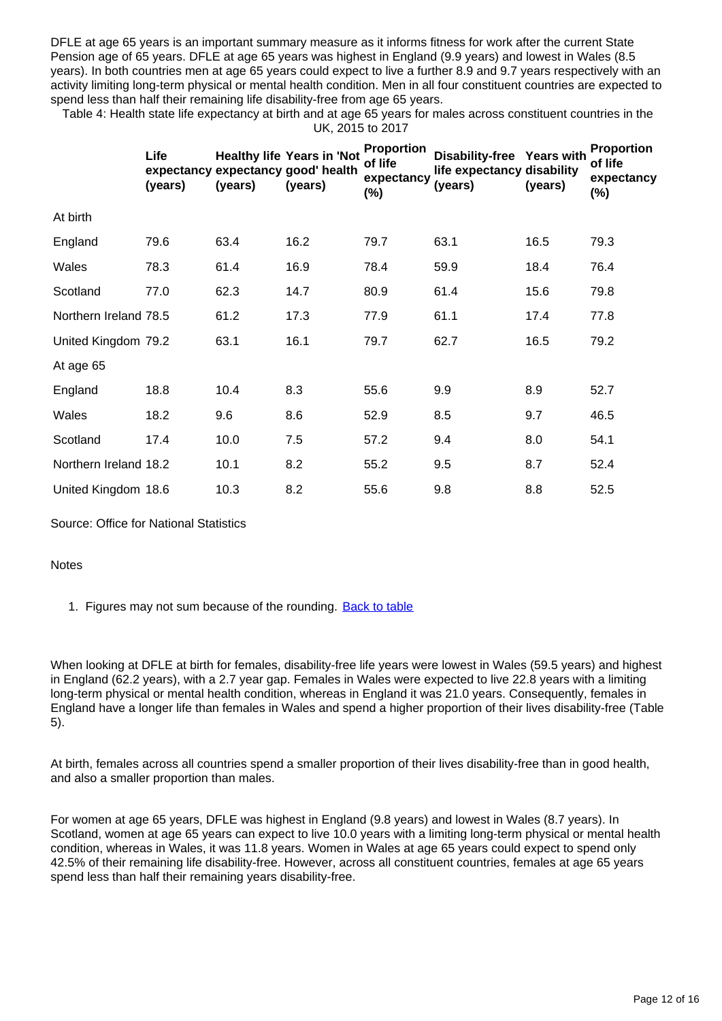DFLE at age 65 years is an important summary measure as it informs fitness for work after the current State Pension age of 65 years. DFLE at age 65 years was highest in England (9.9 years) and lowest in Wales (8.5 years). In both countries men at age 65 years could expect to live a further 8.9 and 9.7 years respectively with an activity limiting long-term physical or mental health condition. Men in all four constituent countries are expected to spend less than half their remaining life disability-free from age 65 years.

Table 4: Health state life expectancy at birth and at age 65 years for males across constituent countries in the UK, 2015 to 2017

|                       | Life<br>(years) | (years) | <b>Healthy life Years in 'Not</b><br>expectancy expectancy good' health<br>(years) | <b>Proportion</b><br>of life<br>expectancy<br>(%) | Disability-free Years with<br>life expectancy disability<br>(years) | (years) | Proportion<br>of life<br>expectancy<br>$(\%)$ |
|-----------------------|-----------------|---------|------------------------------------------------------------------------------------|---------------------------------------------------|---------------------------------------------------------------------|---------|-----------------------------------------------|
| At birth              |                 |         |                                                                                    |                                                   |                                                                     |         |                                               |
| England               | 79.6            | 63.4    | 16.2                                                                               | 79.7                                              | 63.1                                                                | 16.5    | 79.3                                          |
| Wales                 | 78.3            | 61.4    | 16.9                                                                               | 78.4                                              | 59.9                                                                | 18.4    | 76.4                                          |
| Scotland              | 77.0            | 62.3    | 14.7                                                                               | 80.9                                              | 61.4                                                                | 15.6    | 79.8                                          |
| Northern Ireland 78.5 |                 | 61.2    | 17.3                                                                               | 77.9                                              | 61.1                                                                | 17.4    | 77.8                                          |
| United Kingdom 79.2   |                 | 63.1    | 16.1                                                                               | 79.7                                              | 62.7                                                                | 16.5    | 79.2                                          |
| At age 65             |                 |         |                                                                                    |                                                   |                                                                     |         |                                               |
| England               | 18.8            | 10.4    | 8.3                                                                                | 55.6                                              | 9.9                                                                 | 8.9     | 52.7                                          |
| Wales                 | 18.2            | 9.6     | 8.6                                                                                | 52.9                                              | 8.5                                                                 | 9.7     | 46.5                                          |
| Scotland              | 17.4            | 10.0    | 7.5                                                                                | 57.2                                              | 9.4                                                                 | 8.0     | 54.1                                          |
| Northern Ireland 18.2 |                 | 10.1    | 8.2                                                                                | 55.2                                              | 9.5                                                                 | 8.7     | 52.4                                          |
| United Kingdom 18.6   |                 | 10.3    | 8.2                                                                                | 55.6                                              | 9.8                                                                 | 8.8     | 52.5                                          |

Source: Office for National Statistics

### **Notes**

1. Figures may not sum because of the rounding. **[Back to table](#page-0-0)** 

When looking at DFLE at birth for females, disability-free life years were lowest in Wales (59.5 years) and highest in England (62.2 years), with a 2.7 year gap. Females in Wales were expected to live 22.8 years with a limiting long-term physical or mental health condition, whereas in England it was 21.0 years. Consequently, females in England have a longer life than females in Wales and spend a higher proportion of their lives disability-free (Table 5).

At birth, females across all countries spend a smaller proportion of their lives disability-free than in good health, and also a smaller proportion than males.

For women at age 65 years, DFLE was highest in England (9.8 years) and lowest in Wales (8.7 years). In Scotland, women at age 65 years can expect to live 10.0 years with a limiting long-term physical or mental health condition, whereas in Wales, it was 11.8 years. Women in Wales at age 65 years could expect to spend only 42.5% of their remaining life disability-free. However, across all constituent countries, females at age 65 years spend less than half their remaining years disability-free.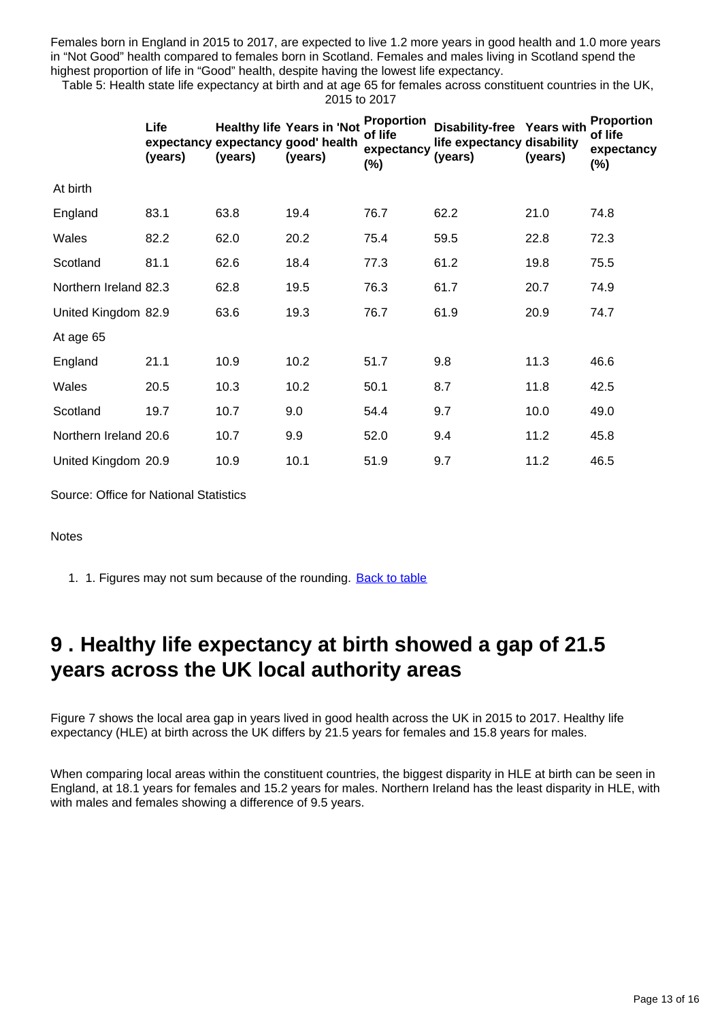Females born in England in 2015 to 2017, are expected to live 1.2 more years in good health and 1.0 more years in "Not Good" health compared to females born in Scotland. Females and males living in Scotland spend the highest proportion of life in "Good" health, despite having the lowest life expectancy.

Table 5: Health state life expectancy at birth and at age 65 for females across constituent countries in the UK, 2015 to 2017

|                       | Life<br>(years) | (years) | <b>Healthy life Years in 'Not</b><br>expectancy expectancy good' health<br>(years) | <b>Proportion</b><br>of life<br>expectancy<br>(%) | Disability-free Years with<br>life expectancy disability<br>(years) | (years) | Proportion<br>of life<br>expectancy<br>$(\%)$ |
|-----------------------|-----------------|---------|------------------------------------------------------------------------------------|---------------------------------------------------|---------------------------------------------------------------------|---------|-----------------------------------------------|
| At birth              |                 |         |                                                                                    |                                                   |                                                                     |         |                                               |
| England               | 83.1            | 63.8    | 19.4                                                                               | 76.7                                              | 62.2                                                                | 21.0    | 74.8                                          |
| Wales                 | 82.2            | 62.0    | 20.2                                                                               | 75.4                                              | 59.5                                                                | 22.8    | 72.3                                          |
| Scotland              | 81.1            | 62.6    | 18.4                                                                               | 77.3                                              | 61.2                                                                | 19.8    | 75.5                                          |
| Northern Ireland 82.3 |                 | 62.8    | 19.5                                                                               | 76.3                                              | 61.7                                                                | 20.7    | 74.9                                          |
| United Kingdom 82.9   |                 | 63.6    | 19.3                                                                               | 76.7                                              | 61.9                                                                | 20.9    | 74.7                                          |
| At age 65             |                 |         |                                                                                    |                                                   |                                                                     |         |                                               |
| England               | 21.1            | 10.9    | 10.2                                                                               | 51.7                                              | 9.8                                                                 | 11.3    | 46.6                                          |
| Wales                 | 20.5            | 10.3    | 10.2                                                                               | 50.1                                              | 8.7                                                                 | 11.8    | 42.5                                          |
| Scotland              | 19.7            | 10.7    | 9.0                                                                                | 54.4                                              | 9.7                                                                 | 10.0    | 49.0                                          |
| Northern Ireland 20.6 |                 | 10.7    | 9.9                                                                                | 52.0                                              | 9.4                                                                 | 11.2    | 45.8                                          |
| United Kingdom 20.9   |                 | 10.9    | 10.1                                                                               | 51.9                                              | 9.7                                                                 | 11.2    | 46.5                                          |

Source: Office for National Statistics

#### **Notes**

1. 1. Figures may not sum because of the rounding. **[Back to table](#page-0-0)** 

### <span id="page-12-0"></span>**9 . Healthy life expectancy at birth showed a gap of 21.5 years across the UK local authority areas**

Figure 7 shows the local area gap in years lived in good health across the UK in 2015 to 2017. Healthy life expectancy (HLE) at birth across the UK differs by 21.5 years for females and 15.8 years for males.

When comparing local areas within the constituent countries, the biggest disparity in HLE at birth can be seen in England, at 18.1 years for females and 15.2 years for males. Northern Ireland has the least disparity in HLE, with with males and females showing a difference of 9.5 years.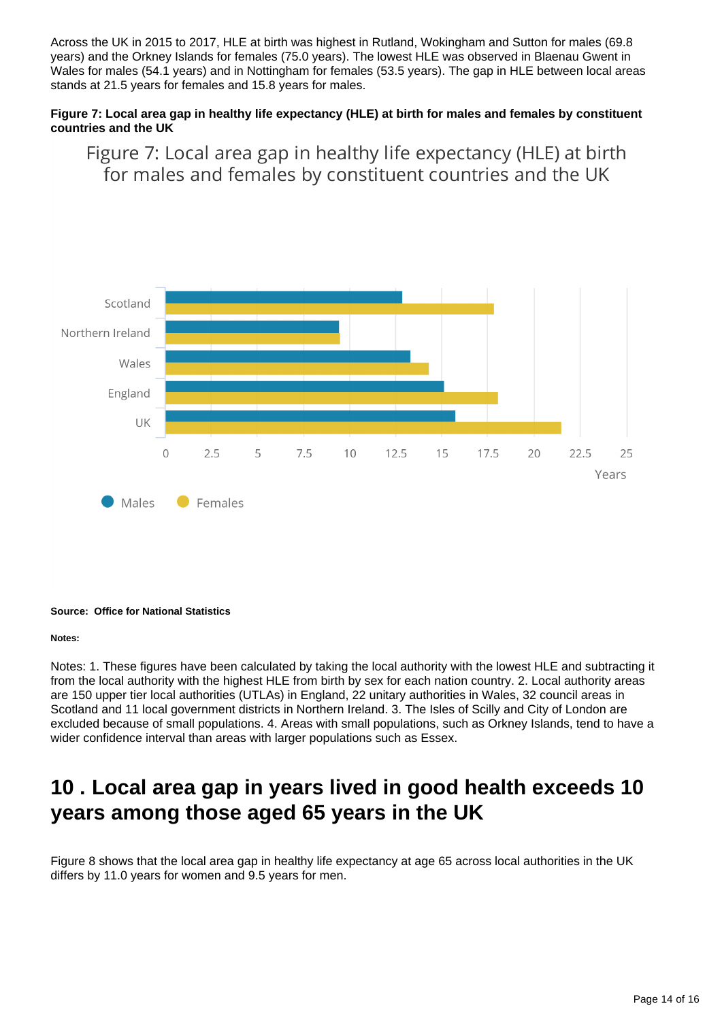Across the UK in 2015 to 2017, HLE at birth was highest in Rutland, Wokingham and Sutton for males (69.8 years) and the Orkney Islands for females (75.0 years). The lowest HLE was observed in Blaenau Gwent in Wales for males (54.1 years) and in Nottingham for females (53.5 years). The gap in HLE between local areas stands at 21.5 years for females and 15.8 years for males.

### **Figure 7: Local area gap in healthy life expectancy (HLE) at birth for males and females by constituent countries and the UK**

Figure 7: Local area gap in healthy life expectancy (HLE) at birth for males and females by constituent countries and the UK



#### **Source: Office for National Statistics**

#### **Notes:**

Notes: 1. These figures have been calculated by taking the local authority with the lowest HLE and subtracting it from the local authority with the highest HLE from birth by sex for each nation country. 2. Local authority areas are 150 upper tier local authorities (UTLAs) in England, 22 unitary authorities in Wales, 32 council areas in Scotland and 11 local government districts in Northern Ireland. 3. The Isles of Scilly and City of London are excluded because of small populations. 4. Areas with small populations, such as Orkney Islands, tend to have a wider confidence interval than areas with larger populations such as Essex.

## <span id="page-13-0"></span>**10 . Local area gap in years lived in good health exceeds 10 years among those aged 65 years in the UK**

Figure 8 shows that the local area gap in healthy life expectancy at age 65 across local authorities in the UK differs by 11.0 years for women and 9.5 years for men.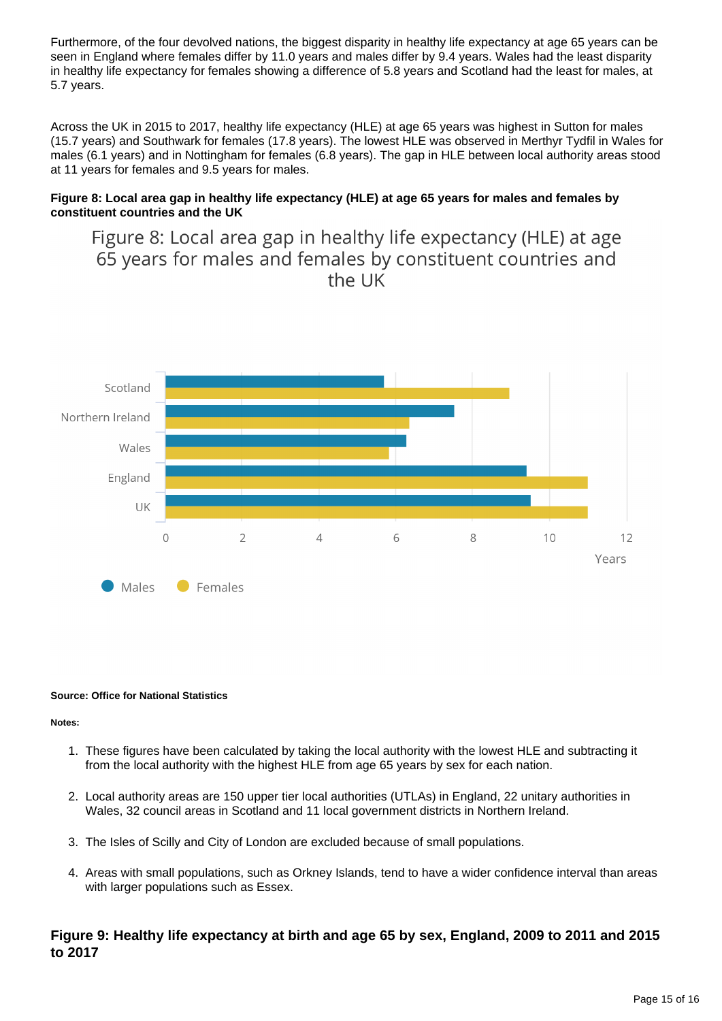Furthermore, of the four devolved nations, the biggest disparity in healthy life expectancy at age 65 years can be seen in England where females differ by 11.0 years and males differ by 9.4 years. Wales had the least disparity in healthy life expectancy for females showing a difference of 5.8 years and Scotland had the least for males, at 5.7 years.

Across the UK in 2015 to 2017, healthy life expectancy (HLE) at age 65 years was highest in Sutton for males (15.7 years) and Southwark for females (17.8 years). The lowest HLE was observed in Merthyr Tydfil in Wales for males (6.1 years) and in Nottingham for females (6.8 years). The gap in HLE between local authority areas stood at 11 years for females and 9.5 years for males.

### **Figure 8: Local area gap in healthy life expectancy (HLE) at age 65 years for males and females by constituent countries and the UK**

Figure 8: Local area gap in healthy life expectancy (HLE) at age 65 years for males and females by constituent countries and the UK



#### **Source: Office for National Statistics**

#### **Notes:**

- 1. These figures have been calculated by taking the local authority with the lowest HLE and subtracting it from the local authority with the highest HLE from age 65 years by sex for each nation.
- 2. Local authority areas are 150 upper tier local authorities (UTLAs) in England, 22 unitary authorities in Wales, 32 council areas in Scotland and 11 local government districts in Northern Ireland.
- 3. The Isles of Scilly and City of London are excluded because of small populations.
- 4. Areas with small populations, such as Orkney Islands, tend to have a wider confidence interval than areas with larger populations such as Essex.

### **Figure 9: Healthy life expectancy at birth and age 65 by sex, England, 2009 to 2011 and 2015 to 2017**